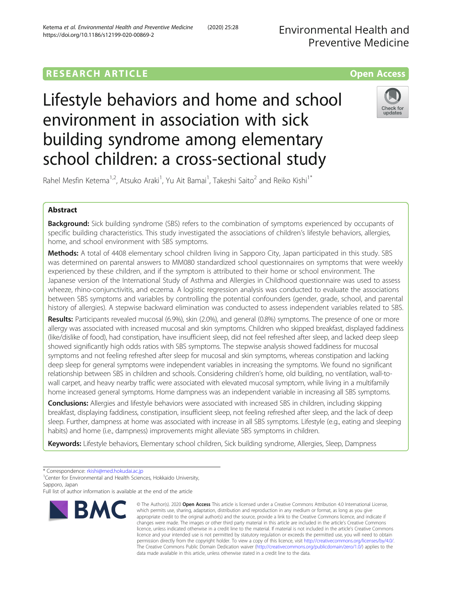Environmental Health and Preventive Medicine

# **RESEARCH ARTICLE Example 2014 12:30 The Contract of Contract ACCESS**

Lifestyle behaviors and home and school environment in association with sick building syndrome among elementary school children: a cross-sectional study



Rahel Mesfin Ketema<sup>1,2</sup>, Atsuko Araki<sup>1</sup>, Yu Ait Bamai<sup>1</sup>, Takeshi Saito<sup>2</sup> and Reiko Kishi<sup>1\*</sup>

# Abstract

**Background:** Sick building syndrome (SBS) refers to the combination of symptoms experienced by occupants of specific building characteristics. This study investigated the associations of children's lifestyle behaviors, allergies, home, and school environment with SBS symptoms.

Methods: A total of 4408 elementary school children living in Sapporo City, Japan participated in this study. SBS was determined on parental answers to MM080 standardized school questionnaires on symptoms that were weekly experienced by these children, and if the symptom is attributed to their home or school environment. The Japanese version of the International Study of Asthma and Allergies in Childhood questionnaire was used to assess wheeze, rhino-conjunctivitis, and eczema. A logistic regression analysis was conducted to evaluate the associations between SBS symptoms and variables by controlling the potential confounders (gender, grade, school, and parental history of allergies). A stepwise backward elimination was conducted to assess independent variables related to SBS.

Results: Participants revealed mucosal (6.9%), skin (2.0%), and general (0.8%) symptoms. The presence of one or more allergy was associated with increased mucosal and skin symptoms. Children who skipped breakfast, displayed faddiness (like/dislike of food), had constipation, have insufficient sleep, did not feel refreshed after sleep, and lacked deep sleep showed significantly high odds ratios with SBS symptoms. The stepwise analysis showed faddiness for mucosal symptoms and not feeling refreshed after sleep for mucosal and skin symptoms, whereas constipation and lacking deep sleep for general symptoms were independent variables in increasing the symptoms. We found no significant relationship between SBS in children and schools. Considering children's home, old building, no ventilation, wall-towall carpet, and heavy nearby traffic were associated with elevated mucosal symptom, while living in a multifamily home increased general symptoms. Home dampness was an independent variable in increasing all SBS symptoms.

**Conclusions:** Allergies and lifestyle behaviors were associated with increased SBS in children, including skipping breakfast, displaying faddiness, constipation, insufficient sleep, not feeling refreshed after sleep, and the lack of deep sleep. Further, dampness at home was associated with increase in all SBS symptoms. Lifestyle (e.g., eating and sleeping habits) and home (i.e., dampness) improvements might alleviate SBS symptoms in children.

Keywords: Lifestyle behaviors, Elementary school children, Sick building syndrome, Allergies, Sleep, Dampness

<sup>1</sup> Center for Environmental and Health Sciences, Hokkaido University, Sapporo, Japan

Full list of author information is available at the end of the article



<sup>©</sup> The Author(s), 2020 **Open Access** This article is licensed under a Creative Commons Attribution 4.0 International License, which permits use, sharing, adaptation, distribution and reproduction in any medium or format, as long as you give appropriate credit to the original author(s) and the source, provide a link to the Creative Commons licence, and indicate if changes were made. The images or other third party material in this article are included in the article's Creative Commons licence, unless indicated otherwise in a credit line to the material. If material is not included in the article's Creative Commons licence and your intended use is not permitted by statutory regulation or exceeds the permitted use, you will need to obtain permission directly from the copyright holder. To view a copy of this licence, visit [http://creativecommons.org/licenses/by/4.0/.](http://creativecommons.org/licenses/by/4.0/) The Creative Commons Public Domain Dedication waiver [\(http://creativecommons.org/publicdomain/zero/1.0/](http://creativecommons.org/publicdomain/zero/1.0/)) applies to the data made available in this article, unless otherwise stated in a credit line to the data.

<sup>\*</sup> Correspondence: [rkishi@med.hokudai.ac.jp](mailto:rkishi@med.hokudai.ac.jp) <sup>1</sup>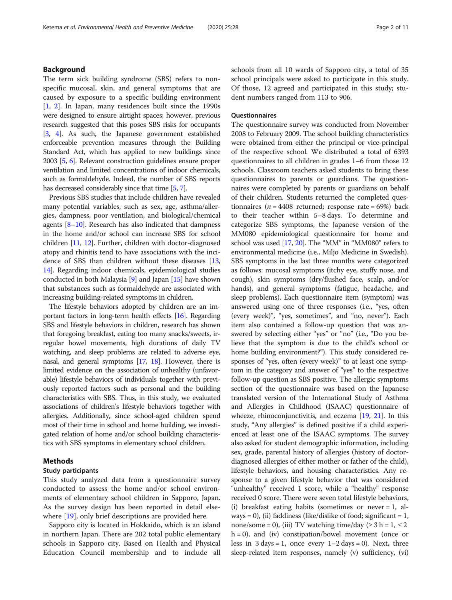# Background

The term sick building syndrome (SBS) refers to nonspecific mucosal, skin, and general symptoms that are caused by exposure to a specific building environment [[1,](#page-9-0) [2](#page-9-0)]. In Japan, many residences built since the 1990s were designed to ensure airtight spaces; however, previous research suggested that this poses SBS risks for occupants [[3](#page-9-0), [4](#page-9-0)]. As such, the Japanese government established enforceable prevention measures through the Building Standard Act, which has applied to new buildings since 2003 [[5](#page-9-0), [6](#page-9-0)]. Relevant construction guidelines ensure proper ventilation and limited concentrations of indoor chemicals, such as formaldehyde. Indeed, the number of SBS reports has decreased considerably since that time [[5,](#page-9-0) [7\]](#page-9-0).

Previous SBS studies that include children have revealed many potential variables, such as sex, age, asthma/allergies, dampness, poor ventilation, and biological/chemical agents [\[8](#page-9-0)–[10\]](#page-9-0). Research has also indicated that dampness in the home and/or school can increase SBS for school children [[11](#page-9-0), [12](#page-9-0)]. Further, children with doctor-diagnosed atopy and rhinitis tend to have associations with the incidence of SBS than children without these diseases [[13](#page-9-0), [14](#page-9-0)]. Regarding indoor chemicals, epidemiological studies conducted in both Malaysia [[9\]](#page-9-0) and Japan [\[15\]](#page-9-0) have shown that substances such as formaldehyde are associated with increasing building-related symptoms in children.

The lifestyle behaviors adopted by children are an important factors in long-term health effects [[16](#page-9-0)]. Regarding SBS and lifestyle behaviors in children, research has shown that foregoing breakfast, eating too many snacks/sweets, irregular bowel movements, high durations of daily TV watching, and sleep problems are related to adverse eye, nasal, and general symptoms [\[17](#page-9-0), [18](#page-9-0)]. However, there is limited evidence on the association of unhealthy (unfavorable) lifestyle behaviors of individuals together with previously reported factors such as personal and the building characteristics with SBS. Thus, in this study, we evaluated associations of children's lifestyle behaviors together with allergies. Additionally, since school-aged children spend most of their time in school and home building, we investigated relation of home and/or school building characteristics with SBS symptoms in elementary school children.

# Methods

# Study participants

This study analyzed data from a questionnaire survey conducted to assess the home and/or school environments of elementary school children in Sapporo, Japan. As the survey design has been reported in detail elsewhere [\[19](#page-9-0)], only brief descriptions are provided here.

Sapporo city is located in Hokkaido, which is an island in northern Japan. There are 202 total public elementary schools in Sapporo city. Based on Health and Physical Education Council membership and to include all schools from all 10 wards of Sapporo city, a total of 35 school principals were asked to participate in this study. Of those, 12 agreed and participated in this study; student numbers ranged from 113 to 906.

# **Questionnaires**

The questionnaire survey was conducted from November 2008 to February 2009. The school building characteristics were obtained from either the principal or vice-principal of the respective school. We distributed a total of 6393 questionnaires to all children in grades 1–6 from those 12 schools. Classroom teachers asked students to bring these questionnaires to parents or guardians. The questionnaires were completed by parents or guardians on behalf of their children. Students returned the completed questionnaires ( $n = 4408$  returned; response rate = 69%) back to their teacher within 5–8 days. To determine and categorize SBS symptoms, the Japanese version of the MM080 epidemiological questionnaire for home and school was used [[17](#page-9-0), [20\]](#page-9-0). The "MM" in "MM080" refers to environmental medicine (i.e., Miljo Medicine in Swedish). SBS symptoms in the last three months were categorized as follows: mucosal symptoms (itchy eye, stuffy nose, and cough), skin symptoms (dry/flushed face, scalp, and/or hands), and general symptoms (fatigue, headache, and sleep problems). Each questionnaire item (symptom) was answered using one of three responses (i.e., "yes, often (every week)", "yes, sometimes", and "no, never"). Each item also contained a follow-up question that was answered by selecting either "yes" or "no" (i.e., "Do you believe that the symptom is due to the child's school or home building environment?"). This study considered responses of "yes, often (every week)" to at least one symptom in the category and answer of "yes" to the respective follow-up question as SBS positive. The allergic symptoms section of the questionnaire was based on the Japanese translated version of the International Study of Asthma and Allergies in Childhood (ISAAC) questionnaire of wheeze, rhinoconjunctivitis, and eczema [[19](#page-9-0), [21](#page-9-0)]. In this study, "Any allergies" is defined positive if a child experienced at least one of the ISAAC symptoms. The survey also asked for student demographic information, including sex, grade, parental history of allergies (history of doctordiagnosed allergies of either mother or father of the child), lifestyle behaviors, and housing characteristics. Any response to a given lifestyle behavior that was considered "unhealthy" received 1 score, while a "healthy" response received 0 score. There were seven total lifestyle behaviors, (i) breakfast eating habits (sometimes or never = 1, always = 0), (ii) faddiness (like/dislike of food; significant = 1, none/some = 0), (iii) TV watching time/day ( $\geq 3$  h = 1,  $\leq 2$  $h = 0$ ), and (iv) constipation/bowel movement (once or less in  $3 \text{ days} = 1$ , once every  $1-2 \text{ days} = 0$ ). Next, three sleep-related item responses, namely (v) sufficiency, (vi)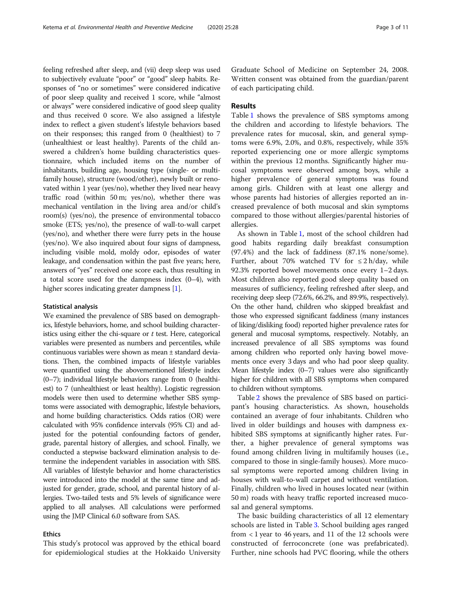feeling refreshed after sleep, and (vii) deep sleep was used to subjectively evaluate "poor" or "good" sleep habits. Responses of "no or sometimes" were considered indicative of poor sleep quality and received 1 score, while "almost or always" were considered indicative of good sleep quality and thus received 0 score. We also assigned a lifestyle index to reflect a given student's lifestyle behaviors based on their responses; this ranged from 0 (healthiest) to 7 (unhealthiest or least healthy). Parents of the child answered a children's home building characteristics questionnaire, which included items on the number of inhabitants, building age, housing type (single- or multifamily house), structure (wood/other), newly built or renovated within 1 year (yes/no), whether they lived near heavy traffic road (within 50 m; yes/no), whether there was mechanical ventilation in the living area and/or child's room(s) (yes/no), the presence of environmental tobacco smoke (ETS; yes/no), the presence of wall-to-wall carpet (yes/no), and whether there were furry pets in the house (yes/no). We also inquired about four signs of dampness, including visible mold, moldy odor, episodes of water leakage, and condensation within the past five years; here, answers of "yes" received one score each, thus resulting in a total score used for the dampness index (0–4), with higher scores indicating greater dampness [\[1\]](#page-9-0).

#### Statistical analysis

We examined the prevalence of SBS based on demographics, lifestyle behaviors, home, and school building characteristics using either the chi-square or  $t$  test. Here, categorical variables were presented as numbers and percentiles, while continuous variables were shown as mean ± standard deviations. Then, the combined impacts of lifestyle variables were quantified using the abovementioned lifestyle index (0–7); individual lifestyle behaviors range from 0 (healthiest) to 7 (unhealthiest or least healthy). Logistic regression models were then used to determine whether SBS symptoms were associated with demographic, lifestyle behaviors, and home building characteristics. Odds ratios (OR) were calculated with 95% confidence intervals (95% CI) and adjusted for the potential confounding factors of gender, grade, parental history of allergies, and school. Finally, we conducted a stepwise backward elimination analysis to determine the independent variables in association with SBS. All variables of lifestyle behavior and home characteristics were introduced into the model at the same time and adjusted for gender, grade, school, and parental history of allergies. Two-tailed tests and 5% levels of significance were applied to all analyses. All calculations were performed using the JMP Clinical 6.0 software from SAS.

# Ethics

This study's protocol was approved by the ethical board for epidemiological studies at the Hokkaido University

Graduate School of Medicine on September 24, 2008. Written consent was obtained from the guardian/parent of each participating child.

# Results

Table [1](#page-3-0) shows the prevalence of SBS symptoms among the children and according to lifestyle behaviors. The prevalence rates for mucosal, skin, and general symptoms were 6.9%, 2.0%, and 0.8%, respectively, while 35% reported experiencing one or more allergic symptoms within the previous 12 months. Significantly higher mucosal symptoms were observed among boys, while a higher prevalence of general symptoms was found among girls. Children with at least one allergy and whose parents had histories of allergies reported an increased prevalence of both mucosal and skin symptoms compared to those without allergies/parental histories of allergies.

As shown in Table [1,](#page-3-0) most of the school children had good habits regarding daily breakfast consumption (97.4%) and the lack of faddiness (87.1% none/some). Further, about 70% watched TV for  $\leq 2$  h/day, while 92.3% reported bowel movements once every 1–2 days. Most children also reported good sleep quality based on measures of sufficiency, feeling refreshed after sleep, and receiving deep sleep (72.6%, 66.2%, and 89.9%, respectively). On the other hand, children who skipped breakfast and those who expressed significant faddiness (many instances of liking/disliking food) reported higher prevalence rates for general and mucosal symptoms, respectively. Notably, an increased prevalence of all SBS symptoms was found among children who reported only having bowel movements once every 3 days and who had poor sleep quality. Mean lifestyle index (0–7) values were also significantly higher for children with all SBS symptoms when compared to children without symptoms.

Table [2](#page-4-0) shows the prevalence of SBS based on participant's housing characteristics. As shown, households contained an average of four inhabitants. Children who lived in older buildings and houses with dampness exhibited SBS symptoms at significantly higher rates. Further, a higher prevalence of general symptoms was found among children living in multifamily houses (i.e., compared to those in single-family houses). More mucosal symptoms were reported among children living in houses with wall-to-wall carpet and without ventilation. Finally, children who lived in houses located near (within 50 m) roads with heavy traffic reported increased mucosal and general symptoms.

The basic building characteristics of all 12 elementary schools are listed in Table [3.](#page-5-0) School building ages ranged from < 1 year to 46 years, and 11 of the 12 schools were constructed of ferroconcrete (one was prefabricated). Further, nine schools had PVC flooring, while the others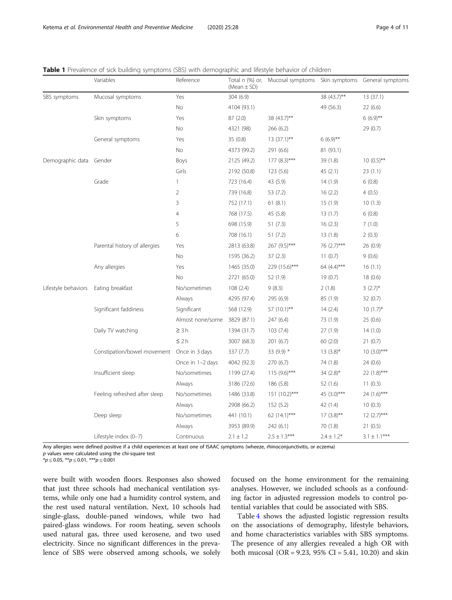<span id="page-3-0"></span>

|  |  | Table 1 Prevalence of sick building symptoms (SBS) with demographic and lifestyle behavior of children |  |
|--|--|--------------------------------------------------------------------------------------------------------|--|
|  |  |                                                                                                        |  |

|                     | Variables                                  | Reference        | Total $n$ (%) or,<br>(Mean $\pm$ SD) | Mucosal symptoms |                | Skin symptoms General symptoms |
|---------------------|--------------------------------------------|------------------|--------------------------------------|------------------|----------------|--------------------------------|
| SBS symptoms        | Mucosal symptoms                           | Yes              | 304 (6.9)                            |                  | 38 (43.7)**    | 13 (37.1)                      |
|                     |                                            | <b>No</b>        | 4104 (93.1)                          |                  | 49 (56.3)      | 22(6.6)                        |
|                     | Skin symptoms                              | Yes              | 87(2.0)                              | 38 (43.7)**      |                | $6(6.9)$ **                    |
|                     |                                            | No               | 4321 (98)                            | 266 (6.2)        |                | 29 (0.7)                       |
|                     | General symptoms                           | Yes              | 35 (0.8)                             | $13(37.1)$ **    | $6(6.9)$ **    |                                |
|                     |                                            | No               | 4373 (99.2)                          | 291 (6.6)        | 81 (93.1)      |                                |
| Demographic data    | Gender                                     | Boys             | 2125 (49.2)                          | $177 (8.3)***$   | 39 (1.8)       | $10(0.5)$ **                   |
|                     |                                            | Girls            | 2192 (50.8)                          | 123(5.6)         | 45(2.1)        | 23(1.1)                        |
|                     | Grade                                      | $\mathbf{1}$     | 723 (16.4)                           | 43 (5.9)         | 14(1.9)        | 6(0.8)                         |
|                     |                                            | $\overline{2}$   | 739 (16.8)                           | 53 (7.2)         | 16(2.2)        | 4(0.5)                         |
|                     |                                            | 3                | 752 (17.1)                           | 61(8.1)          | 15 (1.9)       | 10(1.3)                        |
|                     |                                            | $\overline{4}$   | 768 (17.5)                           | 45 (5.8)         | 13(1.7)        | 6(0.8)                         |
|                     |                                            | 5                | 698 (15.9)                           | 51(7.3)          | 16(2.3)        | 7(1.0)                         |
|                     |                                            | 6                | 708 (16.1)                           | 51(7.2)          | 13(1.8)        | 2(0.3)                         |
|                     | Parental history of allergies              | Yes              | 2813 (63.8)                          | 267 (9.5)***     | 76 (2.7)***    | 26 (0.9)                       |
|                     |                                            | No               | 1595 (36.2)                          | 37(2.3)          | 11(0.7)        | 9(0.6)                         |
|                     | Any allergies                              | Yes              | 1465 (35.0)                          | 229 (15.6)***    | 64 $(4.4)$ *** | 16(1.1)                        |
|                     |                                            | No               | 2721 (65.0)                          | 52 (1.9)         | 19(0.7)        | 18(0.6)                        |
| Lifestyle behaviors | Eating breakfast                           | No/sometimes     | 108(2.4)                             | 9(8.3)           | 2(1.8)         | $3(2.7)$ *                     |
|                     |                                            | Always           | 4295 (97.4)                          | 295 (6.9)        | 85 (1.9)       | 32(0.7)                        |
|                     | Significant faddiness                      | Significant      | 568 (12.9)                           | 57 (10.1)**      | 14(2.4)        | $10(1.7)^{*}$                  |
|                     |                                            | Almost none/some | 3829 (87.1)                          | 247 (6.4)        | 73 (1.9)       | 25(0.6)                        |
|                     | Daily TV watching                          | $\geq 3h$        | 1394 (31.7)                          | 103(7.4)         | 27 (1.9)       | 14(1.0)                        |
|                     |                                            | $\leq 2 h$       | 3007 (68.3)                          | 201(6.7)         | 60(2.0)        | 21(0.7)                        |
|                     | Constipation/bowel movement Once in 3 days |                  | 337 (7.7)                            | 33 (9.9) *       | $13(3.8)$ *    | $10(3.0)***$                   |
|                     |                                            | Once in 1-2 days | 4042 (92.3)                          | 270 (6.7)        | 74 (1.8)       | 24 (0.6)                       |
|                     | Insufficient sleep                         | No/sometimes     | 1199 (27.4)                          | $115(9.6)***$    | 34 $(2.8)$ *   | $22(1.8)***$                   |
|                     |                                            | Always           | 3186 (72.6)                          | 186 (5.8)        | 52(1.6)        | 11(0.3)                        |
|                     | Feeling refreshed after sleep              | No/sometimes     | 1486 (33.8)                          | $151 (10.2)$ *** | 45 (3.0)***    | $24(1.6)***$                   |
|                     |                                            | Always           | 2908 (66.2)                          | 152 (5.2)        | 42 (1.4)       | 10(0.3)                        |
|                     | Deep sleep                                 | No/sometimes     | 441 (10.1)                           | 62 $(14.1)$ ***  | $17(3.8)$ **   | $12(2.7)***$                   |
|                     |                                            | Always           | 3953 (89.9)                          | 242 (6.1)        | 70 (1.8)       | 21(0.5)                        |
|                     | Lifestyle index (0-7)                      | Continuous       | $2.1 \pm 1.2$                        | $2.5 \pm 1.3***$ | $2.4 \pm 1.2*$ | $3.1\pm1.1^{***}$              |

Any allergies were defined positive if a child experiences at least one of ISAAC symptoms (wheeze, rhinoconjunctivitis, or eczema)

 $p$  values were calculated using the chi-square test  $**p* \le 0.05$ ,  $**p* \le 0.01$ ,  $**p* \le 0.001$ 

were built with wooden floors. Responses also showed that just three schools had mechanical ventilation systems, while only one had a humidity control system, and the rest used natural ventilation. Next, 10 schools had single-glass, double-paned windows, while two had paired-glass windows. For room heating, seven schools used natural gas, three used kerosene, and two used electricity. Since no significant differences in the prevalence of SBS were observed among schools, we solely focused on the home environment for the remaining analyses. However, we included schools as a confounding factor in adjusted regression models to control potential variables that could be associated with SBS.

Table [4](#page-6-0) shows the adjusted logistic regression results on the associations of demography, lifestyle behaviors, and home characteristics variables with SBS symptoms. The presence of any allergies revealed a high OR with both mucosal (OR = 9.23, 95% CI = 5.41, 10.20) and skin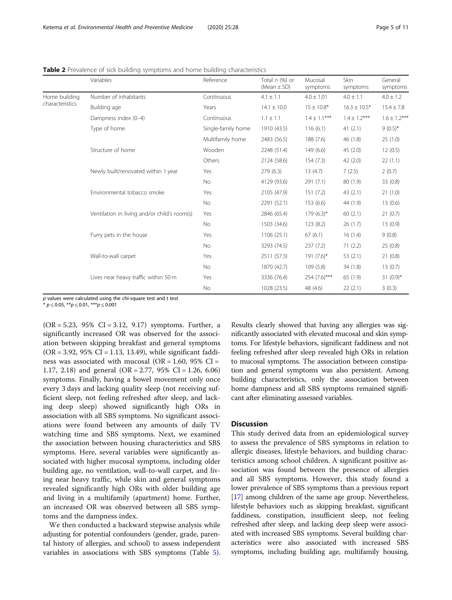|                 | Variables                                    | Reference          | Total $n$ (%) or<br>$(Mean \pm SD)$ | Mucosal<br>symptoms | Skin<br>symptoms  | General<br>symptoms |
|-----------------|----------------------------------------------|--------------------|-------------------------------------|---------------------|-------------------|---------------------|
| Home building   | Number of inhabitants                        | Continuous         | $4.1 \pm 1.1$                       | $4.0 \pm 1.01$      | $4.0 \pm 1.1$     | $4.0 \pm 1.2$       |
| characteristics | Building age                                 | Years              | $14.1 \pm 10.0$                     | $15 \pm 10.8*$      | $16.3 \pm 10.5*$  | $15.4 \pm 7.8$      |
|                 | Dampness index (0-4)                         | Continuous         | $1.1 \pm 1.1$                       | $1.4 \pm 1.1***$    | $1.4 \pm 1.2$ *** | $1.6 \pm 1.2***$    |
|                 | Type of home                                 | Single-family home | 1910 (43.5)                         | 116(6.1)            | 41(2.1)           | $9(0.5)^{*}$        |
|                 |                                              | Multifamily home   | 2483 (56.5)                         | 188 (7.6)           | 46 (1.8)          | 25(1.0)             |
|                 | Structure of home                            | Wooden             | 2248 (51.4)                         | 149 (6.6)           | 45(2.0)           | 12(0.5)             |
|                 |                                              | Others             | 2124 (58.6)                         | 154(7.3)            | 42(2.0)           | 22(1.1)             |
|                 | Newly built/renovated within 1 year          | Yes                | 279 (6.3)                           | 13(4.7)             | 7(2.5)            | 2(0.7)              |
|                 |                                              | No                 | 4129 (93.6)                         | 291(7.1)            | 80 (1.9)          | 33 (0.8)            |
|                 | Environmental tobacco smoke                  | Yes                | 2105 (47.9)                         | 151(7.2)            | 43(2.1)           | 21(1.0)             |
|                 |                                              | No                 | 2291 (52.1)                         | 153(6.6)            | 44 (1.9)          | 13(0.6)             |
|                 | Ventilation in living and/or child's room(s) | Yes                | 2846 (65.4)                         | $179(6.3)^{*}$      | 60(2.1)           | 21(0.7)             |
|                 |                                              | No                 | 1503 (34.6)                         | 123 (8.2)           | 26(1.7)           | 13(0.9)             |
|                 | Furry pets in the house                      | Yes                | 1106 (25.1)                         | 67(6.1)             | 16(1.4)           | 9(0.8)              |
|                 |                                              | <b>No</b>          | 3293 (74.5)                         | 237(7.2)            | 71(2.2)           | 25 (0.8)            |
|                 | Wall-to-wall carpet                          | Yes                | 2511 (57.3)                         | $191(7.6)^*$        | 53(2.1)           | 21(0.8)             |
|                 |                                              | No                 | 1870 (42.7)                         | 109(5.8)            | 34(1.8)           | 13(0.7)             |
|                 | Lives near heavy traffic within 50 m         | Yes                | 3336 (76.4)                         | $254 (7.6)$ ***     | 65(1.9)           | $31(0.9)$ *         |
|                 |                                              | No                 | 1028 (23.5)                         | 48 (4.6)            | 22(2.1)           | 3(0.3)              |

<span id="page-4-0"></span>Table 2 Prevalence of sick building symptoms and home building characteristics

 $p$  values were calculated using the chi-square test and t test

 $* p \le 0.05$ ,  $** p \le 0.01$ ,  $*** p \le 0.001$ 

 $(OR = 5.23, 95\% \text{ CI} = 3.12, 9.17)$  symptoms. Further, a significantly increased OR was observed for the association between skipping breakfast and general symptoms  $(OR = 3.92, 95\% CI = 1.13, 13.49)$ , while significant faddiness was associated with mucosal (OR = 1.60, 95% CI = 1.17, 2.18) and general (OR = 2.77, 95% CI = 1.26, 6.06) symptoms. Finally, having a bowel movement only once every 3 days and lacking quality sleep (not receiving sufficient sleep, not feeling refreshed after sleep, and lacking deep sleep) showed significantly high ORs in association with all SBS symptoms. No significant associations were found between any amounts of daily TV watching time and SBS symptoms. Next, we examined the association between housing characteristics and SBS symptoms. Here, several variables were significantly associated with higher mucosal symptoms, including older building age, no ventilation, wall-to-wall carpet, and living near heavy traffic, while skin and general symptoms revealed significantly high ORs with older building age and living in a multifamily (apartment) home. Further, an increased OR was observed between all SBS symptoms and the dampness index.

We then conducted a backward stepwise analysis while adjusting for potential confounders (gender, grade, parental history of allergies, and school) to assess independent variables in associations with SBS symptoms (Table [5](#page-7-0)). Results clearly showed that having any allergies was significantly associated with elevated mucosal and skin symptoms. For lifestyle behaviors, significant faddiness and not feeling refreshed after sleep revealed high ORs in relation to mucosal symptoms. The association between constipation and general symptoms was also persistent. Among building characteristics, only the association between home dampness and all SBS symptoms remained significant after eliminating assessed variables.

# **Discussion**

This study derived data from an epidemiological survey to assess the prevalence of SBS symptoms in relation to allergic diseases, lifestyle behaviors, and building characteristics among school children. A significant positive association was found between the presence of allergies and all SBS symptoms. However, this study found a lower prevalence of SBS symptoms than a previous report [[17](#page-9-0)] among children of the same age group. Nevertheless, lifestyle behaviors such as skipping breakfast, significant faddiness, constipation, insufficient sleep, not feeling refreshed after sleep, and lacking deep sleep were associated with increased SBS symptoms. Several building characteristics were also associated with increased SBS symptoms, including building age, multifamily housing,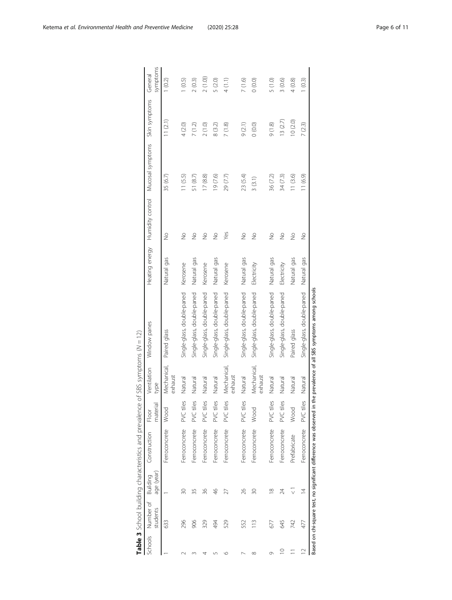<span id="page-5-0"></span>

|              |                       |                        | Table 3 School building characteristics and prevalence              |                       | of SBS symptoms $(N = 12)$ |                                                  |                |               |                                   |               |                     |
|--------------|-----------------------|------------------------|---------------------------------------------------------------------|-----------------------|----------------------------|--------------------------------------------------|----------------|---------------|-----------------------------------|---------------|---------------------|
| Schools      | Number of<br>students | age (year)<br>Building | Construction                                                        | ᠊ᢛ<br>materi<br>Floor | Ventilation<br>type        | Window panes                                     | Heating energy |               | Humidity control Mucosal symptoms | Skin symptoms | symptoms<br>General |
|              | 633                   |                        | Ferroconcrete                                                       | Wood                  | Mechanical,<br>exhaust     | Paired glass                                     | Natural gas    | $\frac{1}{2}$ | 35 (6.7)                          | 11(2.1)       | (0.2)               |
|              | 296                   | 30                     | Ferroconcrete                                                       | E<br>PVC til          | Natural                    | Single-glass, double-paned                       | Kerosene       | $\frac{1}{2}$ | 11(5.5)                           | 4(2.0)        | (0.5)               |
|              | 906                   | 35                     | Ferroconcrete                                                       | PVC tiles             | Natural                    | Single-glass, double-paned                       | Natural gas    | $\frac{1}{2}$ | 51 (8.7)                          | 7(1.2)        | 2(0.3)              |
| Ч            | 329                   | 36                     | Ferroconcrete                                                       | PVC tiles             | Natural                    | Single-glass, double-paned                       | Kerosene       | $\frac{1}{2}$ | 17(8.8)                           | 2(1.0)        | 2(1.0)              |
| ഥ            | 494                   | 46                     | Ferroconcrete                                                       | PVC tiles             | Natural                    | Single-glass, double-paned                       | Natural gas    | $\frac{1}{2}$ | 19 (7.6)                          | 8 (3.2)       | 5 (2.0)             |
| $\circ$      | 529                   | 27                     | Ferroconcrete                                                       | PVC tiles             | Mechanical,<br>exhaust     | Single-glass, double-paned                       | Kerosene       | Yes           | 29 (7.7)                          | 7(1.8)        | 4(1.1)              |
| r            | 552                   | 26                     | Ferroconcrete                                                       | PVC tiles             | Natural                    | Single-glass, double-paned                       | Natural gas    | $\frac{1}{2}$ | 23 (5.4)                          | 9(2.1)        | 7(1.6)              |
| ${}^{\circ}$ | 113                   | 30                     | Ferroconcrete                                                       | Wood                  | Mechanical,<br>exhaust     | Single-glass, double-paned                       | Electricity    | $\frac{1}{2}$ | 3(3.1)                            | (0.0)         | (0.0)               |
| Ō            | 677                   | $\approx$              | Ferroconcrete                                                       | PVC tiles             | Natural                    | Single-glass, double-paned                       | Natural gas    | $\frac{1}{2}$ | 36 (7.2)                          | (1.8)         | 5 (1.0)             |
| $\supseteq$  | 645                   | 24                     | Ferroconcrete                                                       | PVC tiles             | Natural                    | Single-glass, double-paned                       | Electricity    | $\frac{1}{2}$ | 34(7.3)                           | 13(2.7)       | (0.6)               |
|              | 742                   | $\frac{1}{\sqrt{2}}$   | Prefabricate                                                        | Wood                  | Natural                    | Paired glass                                     | Natural gas    | $\frac{1}{2}$ | 11(3.6)                           | 10 (2.0)      | (0.8)               |
| $\supseteq$  | 477                   | $\bar{4}$              | Ferroconcrete                                                       | හි<br>PVC til         | Natural                    | Single-glass, double-paned                       | Natural gas    | $\frac{1}{2}$ | 11 (6.9)                          | 7(2.3)        | (0.3)               |
|              |                       |                        | Based on chi-square test, no significant difference was observed in |                       |                            | the prevalence of all SBS symptoms among schools |                |               |                                   |               |                     |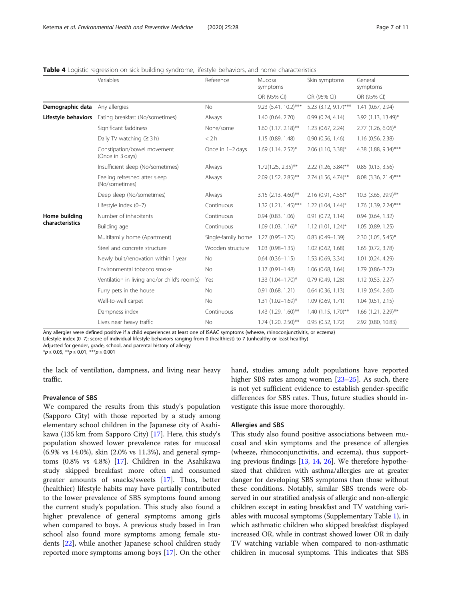|                     | Variables                                       | Reference          | Mucosal<br>symptoms      | Skin symptoms         | General<br>symptoms  |
|---------------------|-------------------------------------------------|--------------------|--------------------------|-----------------------|----------------------|
|                     |                                                 |                    | OR (95% CI)              | OR (95% CI)           | OR (95% CI)          |
| Demographic data    | Any allergies                                   | <b>No</b>          | 9.23 (5.41, 10.2)***     | 5.23 (3.12, 9.17)***  | 1.41 (0.67, 2.94)    |
| Lifestyle behaviors | Eating breakfast (No/sometimes)                 | Always             | 1.40 (0.64, 2.70)        | 0.99(0.24, 4.14)      | 3.92 (1.13, 13.49)*  |
|                     | Significant faddiness                           | None/some          | $1.60$ (1.17, 2.18)**    | 1.23(0.67, 2.24)      | 2.77 (1.26, 6.06)*   |
|                     | Daily TV watching $(23 h)$                      | < 2 h              | 1.15(0.89, 1.48)         | 0.90(0.56, 1.46)      | 1.16 (0.56, 2.38)    |
|                     | Constipation/bowel movement<br>(Once in 3 days) | Once in 1-2 days   | $1.69$ (1.14, 2.52)*     | $2.06$ (1.10, 3.38)*  | 4.38 (1.88, 9.34)*** |
|                     | Insufficient sleep (No/sometimes)               | Always             | $1.72(1.25, 2.35)$ **    | 2.22 (1.26, 3.84)**   | 0.85(0.13, 3.56)     |
|                     | Feeling refreshed after sleep<br>(No/sometimes) | Always             | 2.09 (1.52, 2.85)**      | 2.74 (1.56, 4.74)**   | 8.08 (3.36, 21.4)*** |
|                     | Deep sleep (No/sometimes)                       | Always             | $3.15$ (2.13, 4.60)**    | $2.16$ (0.91, 4.55)*  | 10.3 (3.65, 29.9)**  |
|                     | Lifestyle index (0-7)                           | Continuous         | $1.32$ (1.21, 1.45)***   | $1.22$ (1.04, 1.44)*  | 1.76 (1.39, 2.24)*** |
| Home building       | Number of inhabitants                           | Continuous         | 0.94(0.83, 1.06)         | 0.91(0.72, 1.14)      | 0.94(0.64, 1.32)     |
| characteristics     | Building age                                    | Continuous         | $1.09$ (1.03, 1.16)*     | $1.12$ (1.01, 1.24)*  | 1.05(0.89, 1.25)     |
|                     | Multifamily home (Apartment)                    | Single-family home | $1.27(0.95 - 1.70)$      | $0.83(0.49 - 1.39)$   | $2.30$ (1.05, 5.45)* |
|                     | Steel and concrete structure                    | Wooden structure   | $1.03(0.98 - 1.35)$      | 1.02(0.62, 1.68)      | 1.65 (0.72, 3.78)    |
|                     | Newly built/renovation within 1 year            | <b>No</b>          | $0.64(0.36 - 1.15)$      | 1.53 (0.69, 3.34)     | 1.01 (0.24, 4.29)    |
|                     | Environmental tobacco smoke                     | <b>No</b>          | $1.17(0.91 - 1.48)$      | 1.06 (0.68, 1.64)     | $1.79(0.86 - 3.72)$  |
|                     | Ventilation in living and/or child's room(s)    | Yes                | $1.33$ $(1.04 - 1.70)^*$ | 0.79(0.49, 1.28)      | 1.12 (0.53, 2.27)    |
|                     | Furry pets in the house                         | No                 | $0.91$ $(0.68, 1.21)$    | $0.64$ $(0.36, 1.13)$ | 1.19 (0.54, 2.60)    |
|                     | Wall-to-wall carpet                             | No                 | $1.31(1.02 - 1.69)^{*}$  | 1.09(0.69, 1.71)      | 1.04(0.51, 2.15)     |
|                     | Dampness index                                  | Continuous         | 1.43 (1.29, 1.60)**      | $1.40$ (1.15, 1.70)** | 1.66 (1.21, 2.29)**  |
|                     | Lives near heavy traffic                        | No                 | 1.74 (1.20, 2.50)**      | 0.95(0.52, 1.72)      | 2.92 (0.80, 10.83)   |

<span id="page-6-0"></span>Table 4 Logistic regression on sick building syndrome, lifestyle behaviors, and home characteristics

Any allergies were defined positive if a child experiences at least one of ISAAC symptoms (wheeze, rhinoconjunctivitis, or eczema) Lifestyle index (0–7): score of individual lifestyle behaviors ranging from 0 (healthiest) to 7 (unhealthy or least healthy)

Adjusted for gender, grade, school, and parental history of allergy

 $**p* \le 0.05$ ,  $***p* \le 0.01$ ,  $****p* \le 0.001$ 

the lack of ventilation, dampness, and living near heavy traffic.

#### Prevalence of SBS

We compared the results from this study's population (Sapporo City) with those reported by a study among elementary school children in the Japanese city of Asahikawa (135 km from Sapporo City) [[17\]](#page-9-0). Here, this study's population showed lower prevalence rates for mucosal (6.9% vs 14.0%), skin (2.0% vs 11.3%), and general symptoms (0.8% vs 4.8%) [[17\]](#page-9-0). Children in the Asahikawa study skipped breakfast more often and consumed greater amounts of snacks/sweets [\[17\]](#page-9-0). Thus, better (healthier) lifestyle habits may have partially contributed to the lower prevalence of SBS symptoms found among the current study's population. This study also found a higher prevalence of general symptoms among girls when compared to boys. A previous study based in Iran school also found more symptoms among female students [\[22](#page-9-0)], while another Japanese school children study reported more symptoms among boys [[17\]](#page-9-0). On the other hand, studies among adult populations have reported higher SBS rates among women [\[23](#page-9-0)–[25](#page-9-0)]. As such, there is not yet sufficient evidence to establish gender-specific differences for SBS rates. Thus, future studies should investigate this issue more thoroughly.

#### Allergies and SBS

This study also found positive associations between mucosal and skin symptoms and the presence of allergies (wheeze, rhinoconjunctivitis, and eczema), thus supporting previous findings [[13](#page-9-0), [14](#page-9-0), [26\]](#page-9-0). We therefore hypothesized that children with asthma/allergies are at greater danger for developing SBS symptoms than those without these conditions. Notably, similar SBS trends were observed in our stratified analysis of allergic and non-allergic children except in eating breakfast and TV watching variables with mucosal symptoms (Supplementary Table [1\)](#page-8-0), in which asthmatic children who skipped breakfast displayed increased OR, while in contrast showed lower OR in daily TV watching variable when compared to non-asthmatic children in mucosal symptoms. This indicates that SBS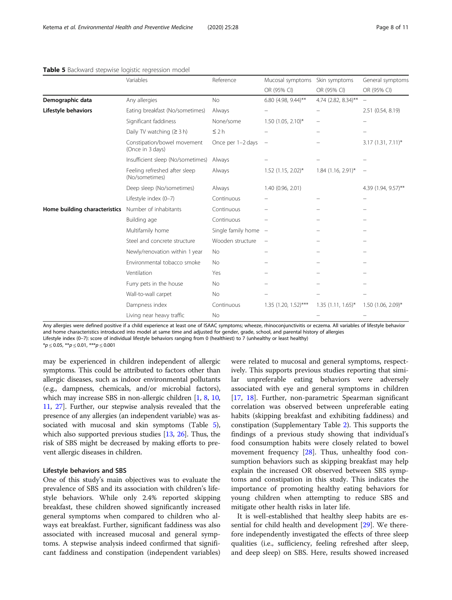|                               | Variables                                       | Reference              | Mucosal symptoms         | Skin symptoms            | General symptoms         |
|-------------------------------|-------------------------------------------------|------------------------|--------------------------|--------------------------|--------------------------|
|                               |                                                 |                        | OR (95% CI)              | OR (95% CI)              | OR (95% CI)              |
| Demographic data              | Any allergies                                   | <b>No</b>              | 6.80 (4.98, 9.44)**      | 4.74 (2.82, 8.34)**      | $\overline{\phantom{0}}$ |
| Lifestyle behaviors           | Eating breakfast (No/sometimes)                 | Always                 |                          | $\overline{\phantom{0}}$ | 2.51 (0.54, 8.19)        |
|                               | Significant faddiness                           | None/some              | $1.50$ (1.05, 2.10)*     |                          |                          |
|                               | Daily TV watching $(23h)$                       | $\leq$ 2 h             |                          |                          |                          |
|                               | Constipation/bowel movement<br>(Once in 3 days) | Once per 1-2 days      | $\overline{\phantom{m}}$ |                          | $3.17(1.31, 7.11)^*$     |
|                               | Insufficient sleep (No/sometimes)               | Always                 |                          |                          |                          |
|                               | Feeling refreshed after sleep<br>(No/sometimes) | Always                 | $1.52$ (1.15, 2.02)*     | 1.84 (1.16, 2.91)*       | $\overline{\phantom{a}}$ |
|                               | Deep sleep (No/sometimes)                       | Always                 | 1.40 (0.96, 2.01)        |                          | 4.39 (1.94, 9.57)**      |
|                               | Lifestyle index (0-7)                           | Continuous             |                          |                          |                          |
| Home building characteristics | Number of inhabitants                           | Continuous             |                          |                          |                          |
|                               | Building age                                    | Continuous             |                          |                          |                          |
|                               | Multifamily home                                | Single family home $-$ |                          |                          |                          |
|                               | Steel and concrete structure                    | Wooden structure       |                          |                          |                          |
|                               | Newly/renovation within 1 year                  | <b>No</b>              |                          |                          |                          |
|                               | Environmental tobacco smoke                     | <b>No</b>              |                          |                          |                          |
|                               | Ventilation                                     | Yes                    |                          |                          |                          |
|                               | Furry pets in the house                         | <b>No</b>              |                          |                          |                          |
|                               | Wall-to-wall carpet                             | No                     |                          |                          |                          |
|                               | Dampness index                                  | Continuous             | 1.35 (1.20, 1.52)***     | $1.35(1.11, 1.65)^*$     | $1.50$ (1.06, 2.09)*     |
|                               | Living near heavy traffic                       | No                     |                          |                          |                          |

### <span id="page-7-0"></span>Table 5 Backward stepwise logistic regression model

Any allergies were defined positive if a child experience at least one of ISAAC symptoms; wheeze, rhinoconjunctivitis or eczema. All variables of lifestyle behavior and home characteristics introduced into model at same time and adjusted for gender, grade, school, and parental history of allergies Lifestyle index (0–7): score of individual lifestyle behaviors ranging from 0 (healthiest) to 7 (unhealthy or least healthy)

 $**p* \le 0.05$ ,  $***p* \le 0.01$ ,  $****p* \le 0.001$ 

may be experienced in children independent of allergic symptoms. This could be attributed to factors other than allergic diseases, such as indoor environmental pollutants (e.g., dampness, chemicals, and/or microbial factors), which may increase SBS in non-allergic children [[1,](#page-9-0) [8,](#page-9-0) [10](#page-9-0), [11](#page-9-0), [27\]](#page-9-0). Further, our stepwise analysis revealed that the presence of any allergies (an independent variable) was associated with mucosal and skin symptoms (Table 5), which also supported previous studies [\[13,](#page-9-0) [26](#page-9-0)]. Thus, the risk of SBS might be decreased by making efforts to prevent allergic diseases in children.

#### Lifestyle behaviors and SBS

One of this study's main objectives was to evaluate the prevalence of SBS and its association with children's lifestyle behaviors. While only 2.4% reported skipping breakfast, these children showed significantly increased general symptoms when compared to children who always eat breakfast. Further, significant faddiness was also associated with increased mucosal and general symptoms. A stepwise analysis indeed confirmed that significant faddiness and constipation (independent variables)

were related to mucosal and general symptoms, respectively. This supports previous studies reporting that similar unpreferable eating behaviors were adversely associated with eye and general symptoms in children [[17,](#page-9-0) [18\]](#page-9-0). Further, non-parametric Spearman significant correlation was observed between unpreferable eating habits (skipping breakfast and exhibiting faddiness) and constipation (Supplementary Table [2](#page-8-0)). This supports the findings of a previous study showing that individual's food consumption habits were closely related to bowel movement frequency [[28\]](#page-9-0). Thus, unhealthy food consumption behaviors such as skipping breakfast may help explain the increased OR observed between SBS symptoms and constipation in this study. This indicates the importance of promoting healthy eating behaviors for young children when attempting to reduce SBS and mitigate other health risks in later life.

It is well-established that healthy sleep habits are essential for child health and development [\[29\]](#page-10-0). We therefore independently investigated the effects of three sleep qualities (i.e., sufficiency, feeling refreshed after sleep, and deep sleep) on SBS. Here, results showed increased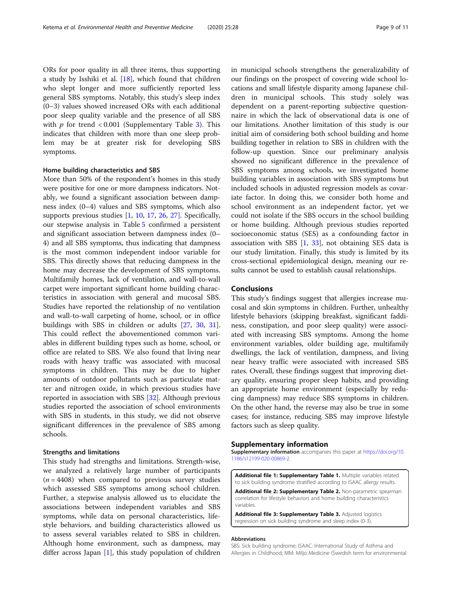<span id="page-8-0"></span>ORs for poor quality in all three items, thus supporting a study by Isshiki et al. [[18\]](#page-9-0), which found that children who slept longer and more sufficiently reported less general SBS symptoms. Notably, this study's sleep index (0–3) values showed increased ORs with each additional poor sleep quality variable and the presence of all SBS with  $p$  for trend < 0.001 (Supplementary Table 3). This indicates that children with more than one sleep problem may be at greater risk for developing SBS symptoms.

### Home building characteristics and SBS

More than 50% of the respondent's homes in this study were positive for one or more dampness indicators. Notably, we found a significant association between dampness index (0–4) values and SBS symptoms, which also supports previous studies [\[1,](#page-9-0) [10](#page-9-0), [17,](#page-9-0) [26](#page-9-0), [27](#page-9-0)]. Specifically, our stepwise analysis in Table [5](#page-7-0) confirmed a persistent and significant association between dampness index (0– 4) and all SBS symptoms, thus indicating that dampness is the most common independent indoor variable for SBS. This directly shows that reducing dampness in the home may decrease the development of SBS symptoms. Multifamily homes, lack of ventilation, and wall-to-wall carpet were important significant home building characteristics in association with general and mucosal SBS. Studies have reported the relationship of no ventilation and wall-to-wall carpeting of home, school, or in office buildings with SBS in children or adults [\[27](#page-9-0), [30](#page-10-0), [31](#page-10-0)]. This could reflect the abovementioned common variables in different building types such as home, school, or office are related to SBS. We also found that living near roads with heavy traffic was associated with mucosal symptoms in children. This may be due to higher amounts of outdoor pollutants such as particulate matter and nitrogen oxide, in which previous studies have reported in association with SBS [\[32](#page-10-0)]. Although previous studies reported the association of school environments with SBS in students, in this study, we did not observe significant differences in the prevalence of SBS among schools.

#### Strengths and limitations

This study had strengths and limitations. Strength-wise, we analyzed a relatively large number of participants  $(n = 4408)$  when compared to previous survey studies which assessed SBS symptoms among school children. Further, a stepwise analysis allowed us to elucidate the associations between independent variables and SBS symptoms, while data on personal characteristics, lifestyle behaviors, and building characteristics allowed us to assess several variables related to SBS in children. Although home environment, such as dampness, may differ across Japan [[1\]](#page-9-0), this study population of children in municipal schools strengthens the generalizability of our findings on the prospect of covering wide school locations and small lifestyle disparity among Japanese children in municipal schools. This study solely was dependent on a parent-reporting subjective questionnaire in which the lack of observational data is one of our limitations. Another limitation of this study is our initial aim of considering both school building and home building together in relation to SBS in children with the follow-up question. Since our preliminary analysis showed no significant difference in the prevalence of SBS symptoms among schools, we investigated home building variables in association with SBS symptoms but included schools in adjusted regression models as covariate factor. In doing this, we consider both home and school environment as an independent factor, yet we could not isolate if the SBS occurs in the school building or home building. Although previous studies reported socioeconomic status (SES) as a confounding factor in association with SBS [\[1](#page-9-0), [33](#page-10-0)], not obtaining SES data is our study limitation. Finally, this study is limited by its cross-sectional epidemiological design, meaning our results cannot be used to establish causal relationships.

# Conclusions

This study's findings suggest that allergies increase mucosal and skin symptoms in children. Further, unhealthy lifestyle behaviors (skipping breakfast, significant faddiness, constipation, and poor sleep quality) were associated with increasing SBS symptoms. Among the home environment variables, older building age, multifamily dwellings, the lack of ventilation, dampness, and living near heavy traffic were associated with increased SBS rates. Overall, these findings suggest that improving dietary quality, ensuring proper sleep habits, and providing an appropriate home environment (especially by reducing dampness) may reduce SBS symptoms in children. On the other hand, the reverse may also be true in some cases; for instance, reducing SBS may improve lifestyle factors such as sleep quality.

#### Supplementary information

Supplementary information accompanies this paper at [https://doi.org/10.](https://doi.org/10.1186/s12199-020-00869-2) [1186/s12199-020-00869-2](https://doi.org/10.1186/s12199-020-00869-2).

Additional file 1: Supplementary Table 1. Multiple variables related to sick building syndrome stratified according to ISAAC allergy results. Additional file 2: Supplementary Table 2. Non-parametric spearman

correlation for lifestyle behaviors and home building characteristics variables.

Additional file 3: Supplementary Table 3. Adjusted logistics regression on sick building syndrome and sleep index (0-3).

#### Abbreviations

SBS: Sick building syndrome; ISAAC: International Study of Asthma and Allergies in Childhood; MM: Miljo Medicine (Swedish term for environmental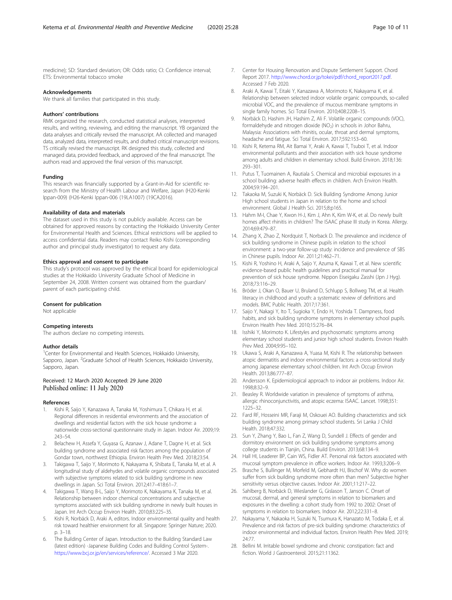<span id="page-9-0"></span>medicine); SD: Standard deviation; OR: Odds ratio; CI: Confidence interval; ETS: Environmental tobacco smoke

#### Acknowledgements

We thank all families that participated in this study.

#### Authors' contributions

RMK organized the research, conducted statistical analyses, interpreted results, and writing, reviewing, and editing the manuscript. YB organized the data analyses and critically revised the manuscript. AA collected and managed data, analyzed data, interpreted results, and drafted critical manuscript revisions. TS critically revised the manuscript. RK designed this study, collected and managed data, provided feedback, and approved of the final manuscript. The authors read and approved the final version of this manuscript.

#### Funding

This research was financially supported by a Grant-in-Aid for scientific research from the Ministry of Health Labour and Welfare, Japan (H20-Kenki Ippan-009) (H26-Kenki Ippan-006 (19LA1007) (19CA2016).

#### Availability of data and materials

The dataset used in this study is not publicly available. Access can be obtained for approved reasons by contacting the Hokkaido University Center for Environmental Health and Sciences. Ethical restrictions will be applied to access confidential data. Readers may contact Reiko Kishi (corresponding author and principal study investigator) to request any data.

#### Ethics approval and consent to participate

This study's protocol was approved by the ethical board for epidemiological studies at the Hokkaido University Graduate School of Medicine in September 24, 2008. Written consent was obtained from the guardian/ parent of each participating child.

#### Consent for publication

Not applicable

#### Competing interests

The authors declare no competing interests.

#### Author details

<sup>1</sup> Center for Environmental and Health Sciences, Hokkaido University, Sapporo, Japan. <sup>2</sup>Graduate School of Health Sciences, Hokkaido University, Sapporo, Japan.

#### Received: 12 March 2020 Accepted: 29 June 2020 Published online: 11 July 2020

#### References

- 1. Kishi R, Saijo Y, Kanazawa A, Tanaka M, Yoshimura T, Chikara H, et al. Regional differences in residential environments and the association of dwellings and residential factors with the sick house syndrome: a nationwide cross-sectional questionnaire study in Japan. Indoor Air. 2009;19: 243–54.
- 2. Belachew H, Assefa Y, Guyasa G, Azanaw J, Adane T, Dagne H, et al. Sick building syndrome and associated risk factors among the population of Gondar town, northwest Ethiopia. Environ Health Prev Med. 2018;23:54.
- Takigawa T, Saijo Y, Morimoto K, Nakayama K, Shibata E, Tanaka M, et al. A longitudinal study of aldehydes and volatile organic compounds associated with subjective symptoms related to sick building syndrome in new dwellings in Japan. Sci Total Environ. 2012;417–418:61–7.
- 4. Takigawa T, Wang B-L, Saijo Y, Morimoto K, Nakayama K, Tanaka M, et al. Relationship between indoor chemical concentrations and subjective symptoms associated with sick building syndrome in newly built houses in Japan. Int Arch Occup Environ Health. 2010;83:225–35.
- Kishi R, Norbäck D, Araki A, editors. Indoor environmental quality and health risk toward healthier environment for all. Singapore: Springer Nature; 2020. p. 3–18.
- The Building Center of Japan. Introduction to the Building Standard Law (latest edition) -Japanese Building Codes and Building Control System-. <https://www.bcj.or.jp/en/services/reference/>. Accessed 3 Mar 2020.
- 7. Center for Housing Renovation and Dispute Settlement Support. Chord Report 2017. [http://www.chord.or.jp/tokei/pdf/chord\\_report2017.pdf](http://www.chord.or.jp/tokei/pdf/chord_report2017.pdf). Accessed 7 Feb 2020.
- 8. Araki A, Kawai T, Eitaki Y, Kanazawa A, Morimoto K, Nakayama K, et al. Relationship between selected indoor volatile organic compounds, so-called microbial VOC, and the prevalence of mucous membrane symptoms in single family homes. Sci Total Environ. 2010;408:2208–15.
- 9. Norbäck D, Hashim JH, Hashim Z, Ali F. Volatile organic compounds (VOC), formaldehyde and nitrogen dioxide (NO<sub>2</sub>) in schools in Johor Bahru, Malaysia: Associations with rhinitis, ocular, throat and dermal symptoms, headache and fatigue. Sci Total Environ. 2017;592:153–60.
- 10. Kishi R, Ketema RM, Ait Bamai Y, Araki A, Kawai T, Tsuboi T, et al. Indoor environmental pollutants and their association with sick house syndrome among adults and children in elementary school. Build Environ. 2018;136: 293–301.
- 11. Putus T, Tuomainen A, Rautiala S. Chemical and microbial exposures in a school building: adverse health effects in children. Arch Environ Health. 2004;59:194–201.
- 12. Takaoka M, Suzuki K, Norbäck D. Sick Building Syndrome Among Junior High school students in Japan in relation to the home and school environment. Global J Health Sci. 2015;8:p165.
- 13. Hahm M-I, Chae Y, Kwon H-J, Kim J, Ahn K, Kim W-K, et al. Do newly built homes affect rhinitis in children? The ISAAC phase III study in Korea. Allergy. 2014;69:479–87.
- 14. Zhang X, Zhao Z, Nordquist T, Norback D. The prevalence and incidence of sick building syndrome in Chinese pupils in relation to the school environment: a two-year follow-up study: incidence and prevalence of SBS in Chinese pupils. Indoor Air. 2011;21:462–71.
- 15. Kishi R, Yoshino H, Araki A, Saijo Y, Azuma K, Kawai T, et al. New scientific evidence-based public health guidelines and practical manual for prevention of sick house syndrome. Nippon Eiseigaku Zasshi (Jpn J Hyg). 2018;73:116–29.
- 16. Bröder J, Okan O, Bauer U, Bruland D, Schlupp S, Bollweg TM, et al. Health literacy in childhood and youth: a systematic review of definitions and models. BMC Public Health. 2017;17:361.
- 17. Saijo Y, Nakagi Y, Ito T, Sugioka Y, Endo H, Yoshida T. Dampness, food habits, and sick building syndrome symptoms in elementary school pupils. Environ Health Prev Med. 2010;15:276–84.
- 18. Isshiki Y, Morimoto K. Lifestyles and psychosomatic symptoms among elementary school students and junior high school students. Environ Health Prev Med. 2004;9:95–102.
- 19. Ukawa S, Araki A, Kanazawa A, Yuasa M, Kishi R. The relationship between atopic dermatitis and indoor environmental factors: a cross-sectional study among Japanese elementary school children. Int Arch Occup Environ Health. 2013;86:777–87.
- 20. Andersson K. Epidemiological approach to indoor air problems. Indoor Air. 1998;8:32–9.
- 21. Beasley R. Worldwide variation in prevalence of symptoms of asthma, allergic rhinoconjunctivitis, and atopic eczema: ISAAC. Lancet. 1998;351: 1225–32.
- 22. Fard RF, Hosseini MR, Faraji M, Oskouei AO. Building characteristics and sick building syndrome among primary school students. Sri Lanka J Child Health. 2018;47:332.
- 23. Sun Y, Zhang Y, Bao L, Fan Z, Wang D, Sundell J. Effects of gender and dormitory environment on sick building syndrome symptoms among college students in Tianjin, China. Build Environ. 2013;68:134–9.
- 24. Hall HI, Leaderer BP, Cain WS, Fidler AT. Personal risk factors associated with mucosal symptom prevalence in office workers. Indoor Air. 1993;3:206–9.
- 25. Brasche S, Bullinger M, Morfeld M, Gebhardt HJ, Bischof W. Why do women suffer from sick building syndrome more often than men? Subjective higher sensitivity versus objective causes. Indoor Air. 2001;11:217–22.
- 26. Sahlberg B, Norbäck D, Wieslander G, Gislason T, Janson C. Onset of mucosal, dermal, and general symptoms in relation to biomarkers and exposures in the dwelling: a cohort study from 1992 to 2002: Onset of symptoms in relation to biomarkers. Indoor Air. 2012;22:331–8.
- 27. Nakayama Y, Nakaoka H, Suzuki N, Tsumura K, Hanazato M, Todaka E, et al. Prevalence and risk factors of pre-sick building syndrome: characteristics of indoor environmental and individual factors. Environ Health Prev Med. 2019; 24:77.
- 28. Bellini M. Irritable bowel syndrome and chronic constipation: fact and fiction. World J Gastroenterol. 2015;21:11362.